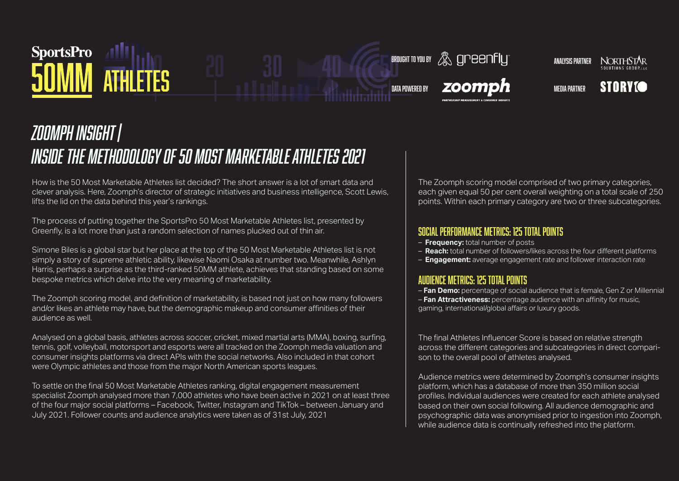#### SportsPro **ATHLETES 20 30 40 65°**

 $\blacksquare$  brought to you by  $\mathcal{B}_\infty$  greenfly  $\blacksquare$ **NORTHSTAR** 

DATA POWERED BY  $\blacksquare$  **Media Partner** 



#### *Zoomph insight | Inside the methodology of 50 Most Marketable Athletes 2021*

How is the 50 Most Marketable Athletes list decided? The short answer is a lot of smart data and clever analysis. Here, Zoomph's director of strategic initiatives and business intelligence, Scott Lewis, lifts the lid on the data behind this year's rankings.

The process of putting together the SportsPro 50 Most Marketable Athletes list, presented by Greenfly, is a lot more than just a random selection of names plucked out of thin air.

Simone Biles is a global star but her place at the top of the 50 Most Marketable Athletes list is not simply a story of supreme athletic ability, likewise Naomi Osaka at number two. Meanwhile, Ashlyn Harris, perhaps a surprise as the third-ranked 50MM athlete, achieves that standing based on some bespoke metrics which delve into the very meaning of marketability.

The Zoomph scoring model, and definition of marketability, is based not just on how many followers and/or likes an athlete may have, but the demographic makeup and consumer affinities of their audience as well.

Analysed on a global basis, athletes across soccer, cricket, mixed martial arts (MMA), boxing, surfing, tennis, golf, volleyball, motorsport and esports were all tracked on the Zoomph media valuation and consumer insights platforms via direct APIs with the social networks. Also included in that cohort were Olympic athletes and those from the major North American sports leagues.

To settle on the final 50 Most Marketable Athletes ranking, digital engagement measurement specialist Zoomph analysed more than 7,000 athletes who have been active in 2021 on at least three of the four major social platforms – Facebook, Twitter, Instagram and TikTok – between January and July 2021. Follower counts and audience analytics were taken as of 31st July, 2021

The Zoomph scoring model comprised of two primary categories, each given equal 50 per cent overall weighting on a total scale of 250 points. Within each primary category are two or three subcategories.

#### Social performance metrics: 125 total points

- **Frequency:** total number of posts
- **Reach:** total number of followers/likes across the four different platforms
- **Engagement:** average engagement rate and follower interaction rate

#### Audience metrics: 125 total points

– **Fan Demo:** percentage of social audience that is female, Gen Z or Millennial – **Fan Attractiveness:** percentage audience with an affinity for music, gaming, international/global affairs or luxury goods.

The final Athletes Influencer Score is based on relative strength across the different categories and subcategories in direct comparison to the overall pool of athletes analysed.

Audience metrics were determined by Zoomph's consumer insights platform, which has a database of more than 350 million social profiles. Individual audiences were created for each athlete analysed based on their own social following. All audience demographic and psychographic data was anonymised prior to ingestion into Zoomph, while audience data is continually refreshed into the platform.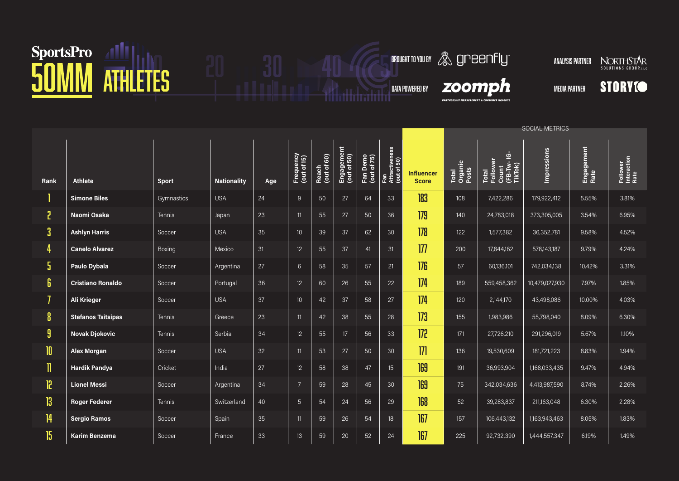### SportsPro 41 1 30 40 6 6 6 6 6 6 6 6 7 1 2 3 6 7 6 7 7 1 2 3 6 7 1 2 3 6 7 1 2 3 6 7 1 2 3 6 7 1 2 3 6 7 1 2 4  $\sqrt{2}$

**BROUGHT TO YOU BY ANALYSIS PARTNER NORTHSTAR** 

 $\boldsymbol{z}$ oomp $\boldsymbol{h}$  media partner

**PARTNERSHIP MEA** 



|              |                           |              |                    |     |                          |                      |                           |                         |                                      |                                   | <b>SOCIAL METRICS</b>     |                                                      |                    |                    |                                 |  |
|--------------|---------------------------|--------------|--------------------|-----|--------------------------|----------------------|---------------------------|-------------------------|--------------------------------------|-----------------------------------|---------------------------|------------------------------------------------------|--------------------|--------------------|---------------------------------|--|
| Rank         | <b>Athlete</b>            | <b>Sport</b> | <b>Nationality</b> | Age | Frequency<br>(out of 15) | Reach<br>(out of 60) | Engagement<br>(out of 50) | Fan Demo<br>(out of 75) | Fan<br>Attractiveness<br>(out of 50) | <b>Influencer</b><br><b>Score</b> | Total<br>Organic<br>Posts | Total<br>Follower<br>Count<br>(FB-TW- IG-<br>TikTok) | <b>Impressions</b> | Engagement<br>Rate | Follower<br>Interaction<br>Rate |  |
|              | <b>Simone Biles</b>       | Gymnastics   | <b>USA</b>         | 24  | 9                        | 50                   | 27                        | 64                      | 33                                   | 183                               | 108                       | 7,422,286                                            | 179,922,412        | 5.55%              | 3.81%                           |  |
| 5            | Naomi Osaka               | Tennis       | Japan              | 23  | 11                       | 55                   | 27                        | 50                      | 36                                   | 179                               | 140                       | 24,783,018                                           | 373,305,005        | 3.54%              | 6.95%                           |  |
| 3            | <b>Ashlyn Harris</b>      | Soccer       | <b>USA</b>         | 35  | 10                       | 39                   | 37                        | 62                      | 30                                   | 178                               | 122                       | 1,577,382                                            | 36,352,781         | 9.58%              | 4.52%                           |  |
| 4            | <b>Canelo Alvarez</b>     | Boxing       | Mexico             | 31  | 12                       | 55                   | 37                        | 41                      | 31                                   | 177                               | 200                       | 17,844,162                                           | 578,143,187        | 9.79%              | 4.24%                           |  |
| 5            | Paulo Dybala              | Soccer       | Argentina          | 27  | $6\phantom{1}$           | 58                   | 35                        | 57                      | 21                                   | 176                               | 57                        | 60,136,101                                           | 742,034,138        | 10.42%             | 3.31%                           |  |
| 6            | <b>Cristiano Ronaldo</b>  | Soccer       | Portugal           | 36  | 12                       | 60                   | 26                        | 55                      | 22                                   | 174                               | 189                       | 559,458,362                                          | 10,479,027,930     | 7.97%              | 1.85%                           |  |
| 7            | Ali Krieger               | Soccer       | <b>USA</b>         | 37  | 10                       | 42                   | 37                        | 58                      | 27                                   | 174                               | 120                       | 2,144,170                                            | 43,498,086         | 10.00%             | 4.03%                           |  |
| 8            | <b>Stefanos Tsitsipas</b> | Tennis       | Greece             | 23  | 11                       | 42                   | 38                        | 55                      | 28                                   | 173                               | 155                       | 1,983,986                                            | 55,798,040         | 8.09%              | 6.30%                           |  |
| 9            | <b>Novak Djokovic</b>     | Tennis       | Serbia             | 34  | 12                       | 55                   | 17                        | 56                      | 33                                   | 172                               | 171                       | 27,726,210                                           | 291,296,019        | 5.67%              | 1.10%                           |  |
| $\mathbf{I}$ | <b>Alex Morgan</b>        | Soccer       | <b>USA</b>         | 32  | 11                       | 53                   | 27                        | 50                      | 30                                   | 171                               | 136                       | 19,530,609                                           | 181,721,223        | 8.83%              | 1.94%                           |  |
| 11           | <b>Hardik Pandya</b>      | Cricket      | India              | 27  | 12                       | 58                   | 38                        | 47                      | 15 <sup>15</sup>                     | 169                               | 191                       | 36,993,904                                           | 1,168,033,435      | 9.47%              | 4.94%                           |  |
| 12           | <b>Lionel Messi</b>       | Soccer       | Argentina          | 34  | 7                        | 59                   | 28                        | 45                      | 30                                   | 169                               | 75                        | 342,034,636                                          | 4,413,987,590      | 8.74%              | 2.26%                           |  |
| 13           | <b>Roger Federer</b>      | Tennis       | Switzerland        | 40  | $\overline{5}$           | 54                   | 24                        | 56                      | 29                                   | 168                               | 52                        | 39,283,837                                           | 211,163,048        | 6.30%              | 2.28%                           |  |
| 4            | <b>Sergio Ramos</b>       | Soccer       | Spain              | 35  | 11                       | 59                   | 26                        | 54                      | 18                                   | 167                               | 157                       | 106,443,132                                          | 1,163,943,463      | 8.05%              | 1.83%                           |  |
| 15           | Karim Benzema             | Soccer       | France             | 33  | 13                       | 59                   | 20                        | 52                      | 24                                   | 167                               | 225                       | 92,732,390                                           | 1,444,557,347      | 6.19%              | 1.49%                           |  |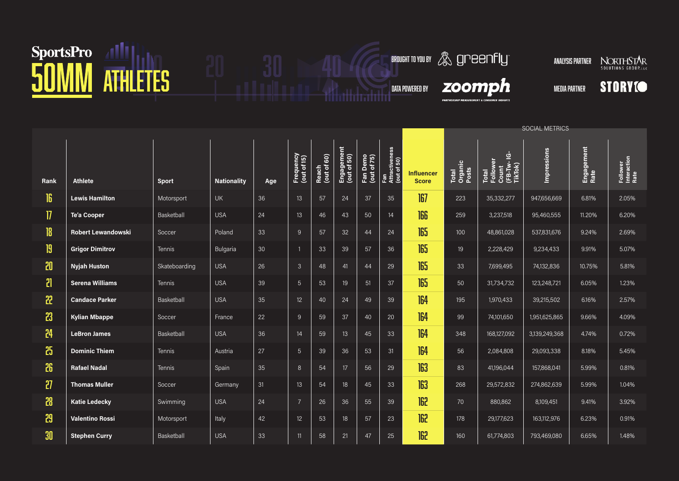# SportsPro 41 1 20 30 40 6000HTOYOUR

**BROUGHT TO YOU BY ANALYSIS PARTNER NORTHSTAR** 

 $\boldsymbol{z}$ oomp $\boldsymbol{h}$  media partner

**PARTHERSHIP MEASUREMENT & CO** 

**STORYIO** 

|                |                           |               |                    |     |                          |                      |                           |                         |                                      |                                   | SOCIAL METRICS            |                                                      |                    |                    |                                 |  |
|----------------|---------------------------|---------------|--------------------|-----|--------------------------|----------------------|---------------------------|-------------------------|--------------------------------------|-----------------------------------|---------------------------|------------------------------------------------------|--------------------|--------------------|---------------------------------|--|
| Rank           | <b>Athlete</b>            | <b>Sport</b>  | <b>Nationality</b> | Age | Frequency<br>(out of 15) | Reach<br>(out of 60) | Engagement<br>(out of 50) | Fan Demo<br>(out of 75) | Fan<br>Attractiveness<br>(out of 50) | <b>Influencer</b><br><b>Score</b> | Total<br>Organic<br>Posts | Total<br>Follower<br>Count<br>(FB-TW- IG-<br>TikTok) | <b>Impressions</b> | Engagement<br>Rate | Follower<br>Interaction<br>Rate |  |
| 16             | <b>Lewis Hamilton</b>     | Motorsport    | <b>UK</b>          | 36  | 13                       | 57                   | 24                        | 37                      | 35                                   | 167                               | 223                       | 35,332,277                                           | 947,656,669        | 6.81%              | 2.05%                           |  |
| $\overline{v}$ | Te'a Cooper               | Basketball    | <b>USA</b>         | 24  | 13                       | 46                   | 43                        | 50                      | 14                                   | 166                               | 259                       | 3,237,518                                            | 95,460,555         | 11.20%             | 6.20%                           |  |
| 8              | <b>Robert Lewandowski</b> | Soccer        | Poland             | 33  | 9                        | 57                   | 32                        | 44                      | 24                                   | 165                               | 100                       | 48,861,028                                           | 537,831,676        | 9.24%              | 2.69%                           |  |
| 19             | <b>Grigor Dimitrov</b>    | <b>Tennis</b> | Bulgaria           | 30  |                          | 33                   | 39                        | 57                      | 36                                   | 165                               | 19                        | 2,228,429                                            | 9,234,433          | 9.91%              | 5.07%                           |  |
| 20             | <b>Nyjah Huston</b>       | Skateboarding | <b>USA</b>         | 26  | $\mathfrak{Z}$           | 48                   | 41                        | 44                      | 29                                   | 165                               | 33                        | 7,699,495                                            | 74,132,836         | 10.75%             | 5.81%                           |  |
| $\mathbf{r}$   | <b>Serena Williams</b>    | <b>Tennis</b> | <b>USA</b>         | 39  | $\overline{5}$           | 53                   | 19                        | 51                      | 37                                   | 165                               | 50                        | 31,734,732                                           | 123,248,721        | 6.05%              | 1.23%                           |  |
| 22             | <b>Candace Parker</b>     | Basketball    | <b>USA</b>         | 35  | 12                       | 40                   | 24                        | 49                      | 39                                   | 164                               | 195                       | 1,970,433                                            | 39,215,502         | 6.16%              | 2.57%                           |  |
| 23             | <b>Kylian Mbappe</b>      | Soccer        | France             | 22  | 9                        | 59                   | 37                        | 40                      | 20                                   | 164                               | 99                        | 74,101,650                                           | 1,951,625,865      | 9.66%              | 4.09%                           |  |
| 24             | <b>LeBron James</b>       | Basketball    | <b>USA</b>         | 36  | 14                       | 59                   | 13                        | 45                      | 33                                   | 164                               | 348                       | 168,127,092                                          | 3,139,249,368      | 4.74%              | 0.72%                           |  |
| 25             | <b>Dominic Thiem</b>      | <b>Tennis</b> | Austria            | 27  | $\overline{5}$           | 39                   | 36                        | 53                      | 31                                   | 164                               | 56                        | 2,084,808                                            | 29,093,338         | 8.18%              | 5.45%                           |  |
| 26             | <b>Rafael Nadal</b>       | <b>Tennis</b> | Spain              | 35  | 8                        | 54                   | 17                        | 56                      | 29                                   | 163                               | 83                        | 41,196,044                                           | 157,868,041        | 5.99%              | 0.81%                           |  |
| 27             | <b>Thomas Muller</b>      | Soccer        | Germany            | 31  | 13                       | 54                   | 18                        | 45                      | 33                                   | 163                               | 268                       | 29,572,832                                           | 274,862,639        | 5.99%              | 1.04%                           |  |
| 28             | <b>Katie Ledecky</b>      | Swimming      | <b>USA</b>         | 24  | $\overline{7}$           | 26                   | 36                        | 55                      | 39                                   | 162                               | 70                        | 880,862                                              | 8,109,451          | 9.41%              | 3.92%                           |  |
| 29             | <b>Valentino Rossi</b>    | Motorsport    | Italy              | 42  | 12                       | 53                   | 18                        | 57                      | 23                                   | 162                               | 178                       | 29,177,623                                           | 163,112,976        | 6.23%              | 0.91%                           |  |
| 30             | <b>Stephen Curry</b>      | Basketball    | <b>USA</b>         | 33  | 11                       | 58                   | 21                        | 47                      | 25                                   | 162                               | 160                       | 61,774,803                                           | 793,469,080        | 6.65%              | 1.48%                           |  |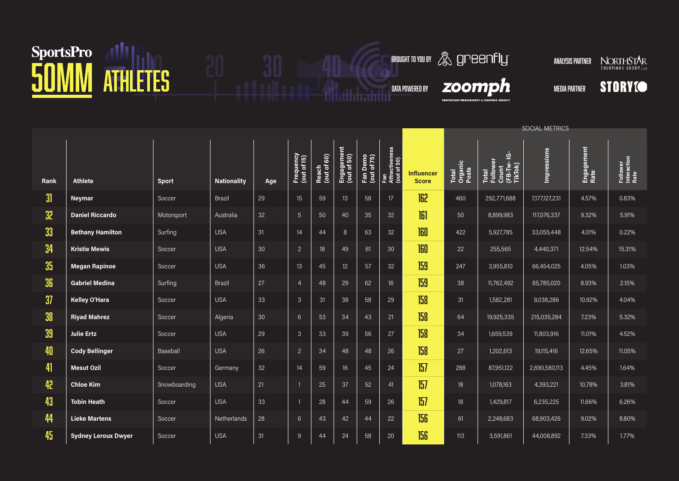### SportsPro 41 1 20 30 40 6 8ROUGHT TO YOU AT HILLETES

**BROUGHT TO YOU BY ANALYSIS PARTNER NORTHSTAR** 

 $\boldsymbol{z}$ oomp $\boldsymbol{h}$  media partner

**PARTHERSHIP MEASUREMENT & CO** 

**STORYIO** 

|      |                            |              |                    |     |                          |                         |                           |                         |                                      |                                   | SOCIAL METRICS            |                                                      |               |                    |                                 |  |
|------|----------------------------|--------------|--------------------|-----|--------------------------|-------------------------|---------------------------|-------------------------|--------------------------------------|-----------------------------------|---------------------------|------------------------------------------------------|---------------|--------------------|---------------------------------|--|
| Rank | <b>Athlete</b>             | <b>Sport</b> | <b>Nationality</b> | Age | Frequency<br>(out of 15) | 60)<br>Reach<br>(out of | Engagement<br>(out of 50) | Fan Demo<br>(out of 75) | Fan<br>Attractiveness<br>(out of 50) | <b>Influencer</b><br><b>Score</b> | Total<br>Organic<br>Posts | Total<br>Follower<br>Count<br>(FB-TW- IG-<br>TikTok) | Impressions   | Engagement<br>Rate | Follower<br>Interaction<br>Rate |  |
| 31   | <b>Neymar</b>              | Soccer       | Brazil             | 29  | 15                       | 59                      | 13                        | 58                      | 17                                   | 162                               | 460                       | 292,771,688                                          | 7,177,127,231 | 4.57%              | 0.83%                           |  |
| 32   | <b>Daniel Riccardo</b>     | Motorsport   | Australia          | 32  | $5\phantom{1}$           | 50                      | 40                        | 35                      | 32                                   | 161                               | 50                        | 8,899,983                                            | 117,076,337   | 9.32%              | 5.91%                           |  |
| 33   | <b>Bethany Hamilton</b>    | Surfing      | <b>USA</b>         | 31  | 14                       | 44                      | 8                         | 63                      | 32                                   | 160                               | 422                       | 5,927,785                                            | 33,055,448    | 4.01%              | 0.22%                           |  |
| 34   | <b>Kristie Mewis</b>       | Soccer       | <b>USA</b>         | 30  | $\overline{2}$           | 18                      | 49                        | 61                      | 30                                   | 160                               | 22                        | 255,565                                              | 4,440,371     | 12.54%             | 15.31%                          |  |
| 35   | <b>Megan Rapinoe</b>       | Soccer       | <b>USA</b>         | 36  | 13                       | 45                      | 12 <sup>°</sup>           | 57                      | 32                                   | 159                               | 247                       | 3,955,810                                            | 66,454,025    | 4.05%              | 1.03%                           |  |
| 36   | <b>Gabriel Medina</b>      | Surfing      | Brazil             | 27  | $\overline{4}$           | 48                      | 29                        | 62                      | 16 <sup>16</sup>                     | 159                               | 38                        | 11,762,492                                           | 65,785,020    | 8.93%              | 2.15%                           |  |
| 37   | Kelley O'Hara              | Soccer       | <b>USA</b>         | 33  | $\mathfrak{Z}$           | 31                      | 38                        | 58                      | 29                                   | 158                               | 31                        | 1,582,281                                            | 9,038,286     | 10.92%             | 4.04%                           |  |
| 38   | <b>Riyad Mahrez</b>        | Soccer       | Algeria            | 30  | 6                        | 53                      | 34                        | 43                      | 21                                   | 158                               | 64                        | 19,925,335                                           | 215,035,284   | 7.23%              | 5.32%                           |  |
| 39   | <b>Julie Ertz</b>          | Soccer       | <b>USA</b>         | 29  | $\mathfrak{Z}$           | 33                      | 39                        | 56                      | 27                                   | 158                               | 34                        | 1,659,539                                            | 11,803,916    | 11.01%             | 4.52%                           |  |
| 40   | <b>Cody Bellinger</b>      | Baseball     | <b>USA</b>         | 26  | $\overline{2}$           | 34                      | 48                        | 48                      | 26                                   | 158                               | 27                        | 1,202,613                                            | 19,115,416    | 12.65%             | 11.05%                          |  |
| 41   | <b>Mesut Ozil</b>          | Soccer       | Germany            | 32  | 14                       | 59                      | 16                        | 45                      | 24                                   | 157                               | 288                       | 87,951,122                                           | 2,690,580,113 | 4.45%              | 1.64%                           |  |
| 42   | <b>Chloe Kim</b>           | Snowboarding | <b>USA</b>         | 21  |                          | 25                      | 37                        | 52                      | 41                                   | 157                               | 18                        | 1,078,163                                            | 4,393,221     | 10.78%             | 3.81%                           |  |
| 43   | <b>Tobin Heath</b>         | Soccer       | <b>USA</b>         | 33  | -1                       | 28                      | 44                        | 59                      | 26                                   | 157                               | 18                        | 1,429,817                                            | 6,235,225     | 11.66%             | 6.26%                           |  |
| 44   | <b>Lieke Martens</b>       | Soccer       | Netherlands        | 28  | $6\phantom{1}$           | 43                      | 42                        | 44                      | 22                                   | 156                               | 61                        | 2,248,683                                            | 68,903,426    | 9.02%              | 8.80%                           |  |
| 45   | <b>Sydney Leroux Dwyer</b> | Soccer       | <b>USA</b>         | 31  | 9                        | 44                      | 24                        | 58                      | 20                                   | 156                               | 113                       | 3,591,861                                            | 44,008,892    | 7.33%              | 1.77%                           |  |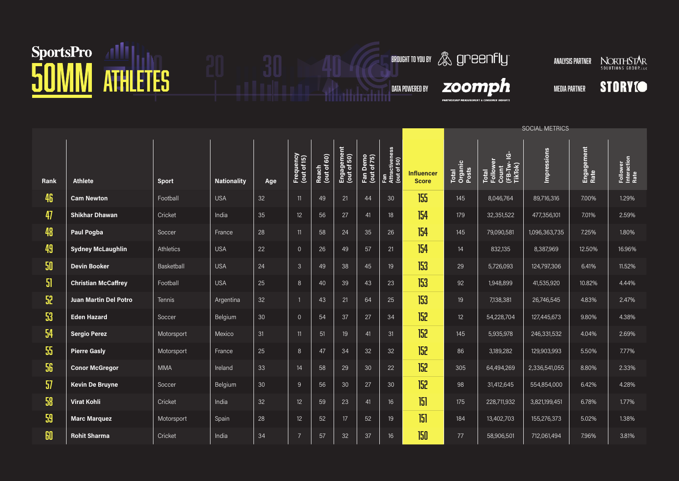# SportsPro 41 1 20 30 40 6000HTOYOUR

**BROUGHT TO YOU BY ANALYSIS PARTNER NORTHSTAR** 

 $\boldsymbol{z}$ oomp $\boldsymbol{h}$  media partner

**PARTNERSHIP MEA** 

**STORYIO** 

|      |                              |               |                    |     |                          |                                       |                           |                         |                                      |                                   | SOCIAL METRICS            |                                                      |               |                    |                                 |  |
|------|------------------------------|---------------|--------------------|-----|--------------------------|---------------------------------------|---------------------------|-------------------------|--------------------------------------|-----------------------------------|---------------------------|------------------------------------------------------|---------------|--------------------|---------------------------------|--|
| Rank | <b>Athlete</b>               | <b>Sport</b>  | <b>Nationality</b> | Age | Frequency<br>(out of 15) | $\overline{60}$<br>Reach<br>(out of 6 | Engagement<br>(out of 50) | Fan Demo<br>(out of 75) | Fan<br>Attractiveness<br>(out of 50) | <b>Influencer</b><br><b>Score</b> | Total<br>Organic<br>Posts | Total<br>Follower<br>Count<br>(FB-TW- IG-<br>TikTok) | Impressions   | Engagement<br>Rate | Follower<br>Interaction<br>Rate |  |
| 46   | <b>Cam Newton</b>            | Football      | <b>USA</b>         | 32  | 11                       | 49                                    | 21                        | 44                      | 30                                   | 155                               | 145                       | 8,046,764                                            | 89,716,316    | 7.00%              | 1.29%                           |  |
| 47   | <b>Shikhar Dhawan</b>        | Cricket       | India              | 35  | 12                       | 56                                    | $27\,$                    | 41                      | 18                                   | 154                               | 179                       | 32,351,522                                           | 477,356,101   | 7.01%              | 2.59%                           |  |
| 48   | Paul Pogba                   | Soccer        | France             | 28  | 11                       | 58                                    | 24                        | 35                      | 26                                   | 154                               | 145                       | 79,090,581                                           | 1,096,363,735 | 7.25%              | 1.80%                           |  |
| 49   | <b>Sydney McLaughlin</b>     | Athletics     | <b>USA</b>         | 22  | $\overline{0}$           | 26                                    | 49                        | 57                      | 21                                   | 154                               | 14                        | 832,135                                              | 8,387,969     | 12.50%             | 16.96%                          |  |
| 50   | <b>Devin Booker</b>          | Basketball    | <b>USA</b>         | 24  | $\mathfrak{Z}$           | 49                                    | 38                        | 45                      | 19                                   | 153                               | 29                        | 5,726,093                                            | 124,797,306   | 6.41%              | 11.52%                          |  |
| 51   | <b>Christian McCaffrey</b>   | Football      | <b>USA</b>         | 25  | $8\phantom{1}$           | 40                                    | 39                        | 43                      | 23                                   | 153                               | 92                        | 1,948,899                                            | 41,535,920    | 10.82%             | 4.44%                           |  |
| 52   | <b>Juan Martin Del Potro</b> | <b>Tennis</b> | Argentina          | 32  |                          | 43                                    | 21                        | 64                      | 25                                   | 153                               | 19                        | 7,138,381                                            | 26,746,545    | 4.83%              | 2.47%                           |  |
| 53   | <b>Eden Hazard</b>           | Soccer        | Belgium            | 30  | $\overline{0}$           | 54                                    | 37                        | 27                      | 34                                   | 152                               | 12 <sup>°</sup>           | 54,228,704                                           | 127,445,673   | 9.80%              | 4.38%                           |  |
| 54   | <b>Sergio Perez</b>          | Motorsport    | Mexico             | 31  | 11                       | 51                                    | 19                        | 41                      | 31                                   | 152                               | 145                       | 5,935,978                                            | 246,331,532   | 4.04%              | 2.69%                           |  |
| 55   | <b>Pierre Gasly</b>          | Motorsport    | France             | 25  | $8\phantom{1}$           | 47                                    | 34                        | 32                      | 32                                   | 152                               | 86                        | 3,189,282                                            | 129,903,993   | 5.50%              | 7.77%                           |  |
| 56   | <b>Conor McGregor</b>        | <b>MMA</b>    | Ireland            | 33  | 14                       | 58                                    | 29                        | 30                      | 22                                   | 152                               | 305                       | 64,494,269                                           | 2,336,541,055 | 8.80%              | 2.33%                           |  |
| 57   | <b>Kevin De Bruyne</b>       | Soccer        | Belgium            | 30  | 9                        | 56                                    | 30                        | 27                      | 30                                   | 152                               | 98                        | 31,412,645                                           | 554,854,000   | 6.42%              | 4.28%                           |  |
| 58   | <b>Virat Kohli</b>           | Cricket       | India              | 32  | 12                       | 59                                    | 23                        | 41                      | 16                                   | 5                                 | 175                       | 228,711,932                                          | 3,821,199,451 | 6.78%              | 1.77%                           |  |
| 59   | <b>Marc Marquez</b>          | Motorsport    | Spain              | 28  | 12                       | 52                                    | 17                        | 52                      | 19                                   | 151                               | 184                       | 13,402,703                                           | 155,276,373   | 5.02%              | 1.38%                           |  |
| 60   | <b>Rohit Sharma</b>          | Cricket       | India              | 34  | $\overline{7}$           | 57                                    | 32                        | 37                      | 16                                   | 150                               | $77\,$                    | 58,906,501                                           | 712,061,494   | 7.96%              | 3.81%                           |  |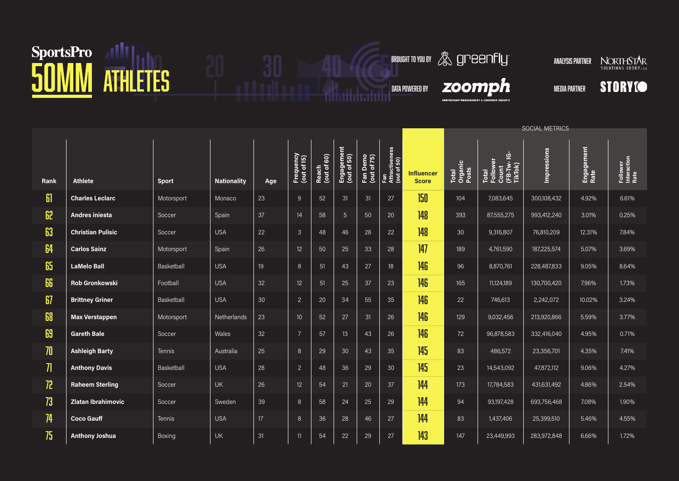#### SportsPro 41 1 20 30 40 6 6 6 6 6 6 6 6 7 1 2 4 1 2 6 6 6 6 7 1 2 4 6 7 1 2 7 1 2 7 1 2 4 6 7 1 2 7 1 2 7 1 2 4 6 7 1 2 7 1 2 7 1 2 7 1 2 7 1 2 7 1 2 7 1 2 7 1 2 7 1 2 7 1 2 7 1 2 7 1 2 7 1 2 7 1 2 7 1 2 7 1 2 7 1 2 7 1 2



|                   |                           |              |                    |     |                          |                      |                           |                         |                                      |                                   | <b>SOCIAL METRICS</b>     |                                                      |                    |                    |                                 |  |
|-------------------|---------------------------|--------------|--------------------|-----|--------------------------|----------------------|---------------------------|-------------------------|--------------------------------------|-----------------------------------|---------------------------|------------------------------------------------------|--------------------|--------------------|---------------------------------|--|
| Rank              | <b>Athlete</b>            | <b>Sport</b> | <b>Nationality</b> | Age | Frequency<br>(out of 15) | Reach<br>(out of 60) | Engagement<br>(out of 50) | Fan Demo<br>(out of 75) | Fan<br>Attractiveness<br>(out of 50) | <b>Influencer</b><br><b>Score</b> | Total<br>Organic<br>Posts | Total<br>Follower<br>Count<br>(FB-TW- IG-<br>TikTok) | <b>Impressions</b> | Engagement<br>Rate | Follower<br>Interaction<br>Rate |  |
| 61                | <b>Charles Leclarc</b>    | Motorsport   | Monaco             | 23  | $\overline{9}$           | 52                   | 31                        | 31                      | 27                                   | 150                               | 104                       | 7,083,645                                            | 300,108,432        | 4.92%              | 6.61%                           |  |
| 62                | <b>Andres iniesta</b>     | Soccer       | Spain              | 37  | 14                       | 58                   | $5\overline{)}$           | 50                      | 20                                   | 148                               | 393                       | 87,555,275                                           | 993,412,240        | 3.01%              | 0.25%                           |  |
| 63                | <b>Christian Pulisic</b>  | Soccer       | <b>USA</b>         | 22  | $\mathbf{3}$             | 48                   | 46                        | 28                      | 22                                   | 148                               | 30                        | 9,316,807                                            | 76,810,209         | 12.31%             | 7.84%                           |  |
| 64                | <b>Carlos Sainz</b>       | Motorsport   | Spain              | 26  | 12                       | 50                   | 25                        | 33                      | 28                                   | 147                               | 189                       | 4,761,590                                            | 187,225,574        | 5.07%              | 3.69%                           |  |
| 65                | <b>LaMelo Ball</b>        | Basketball   | <b>USA</b>         | 19  | 8                        | 51                   | 43                        | 27                      | 18                                   | 146                               | 96                        | 8,870,761                                            | 228,487,833        | 9.05%              | 8.64%                           |  |
| 66                | <b>Rob Gronkowski</b>     | Football     | <b>USA</b>         | 32  | 12                       | 51                   | 25                        | 37                      | 23                                   | 146                               | 165                       | 11,124,189                                           | 130,700,420        | 7.96%              | 1.73%                           |  |
| 67                | <b>Brittney Griner</b>    | Basketball   | <b>USA</b>         | 30  | $\overline{2}$           | 20                   | 34                        | 55                      | 35                                   | 146                               | 22                        | 746,613                                              | 2,242,072          | 10.02%             | 3.24%                           |  |
| 68                | <b>Max Verstappen</b>     | Motorsport   | Netherlands        | 23  | 10 <sup>10</sup>         | 52                   | 27                        | 31                      | 26                                   | 146                               | 129                       | 9,032,456                                            | 213,920,866        | 5.59%              | 3.77%                           |  |
| 69                | <b>Gareth Bale</b>        | Soccer       | Wales              | 32  | $\overline{7}$           | 57                   | 13                        | 43                      | 26                                   | 146                               | 72                        | 96,878,583                                           | 332,416,040        | 4.95%              | 0.71%                           |  |
| 70                | <b>Ashleigh Barty</b>     | Tennis       | Australia          | 25  | 8                        | 29                   | 30                        | 43                      | 35                                   | 145                               | 83                        | 486,572                                              | 23,356,701         | 4.35%              | 7.41%                           |  |
| $\overline{\eta}$ | <b>Anthony Davis</b>      | Basketball   | <b>USA</b>         | 28  | $\overline{c}$           | 48                   | 36                        | 29                      | 30                                   | 145                               | 23                        | 14,543,092                                           | 47,872,112         | 9.06%              | 4.27%                           |  |
| 72                | <b>Raheem Sterling</b>    | Soccer       | UK                 | 26  | 12                       | 54                   | 21                        | 20                      | 37                                   | 144                               | 173                       | 17,784,583                                           | 431,631,492        | 4.86%              | 2.54%                           |  |
| 73                | <b>Zlatan Ibrahimovic</b> | Soccer       | Sweden             | 39  | 8                        | 58                   | 24                        | 25                      | 29                                   | 144                               | 94                        | 93,197,428                                           | 693,756,468        | 7.08%              | 1.90%                           |  |
| 74                | <b>Coco Gauff</b>         | Tennis       | <b>USA</b>         | 17  | 8                        | 36                   | 28                        | 46                      | 27                                   | 144                               | 83                        | 1,437,406                                            | 25,399,510         | 5.46%              | 4.55%                           |  |
| 75                | <b>Anthony Joshua</b>     | Boxing       | <b>UK</b>          | 31  | 11                       | 54                   | 22                        | 29                      | 27                                   | 143                               | 147                       | 23,449,993                                           | 283,972,848        | 6.66%              | 1.72%                           |  |

 $\boldsymbol{z}$ oomp $\boldsymbol{h}$  media partner

I<br>PARTNERSHIP MEASUREMENT & CON

**BROUGHT TO YOU BY ANALYSIS PARTNER NORTHSTAR**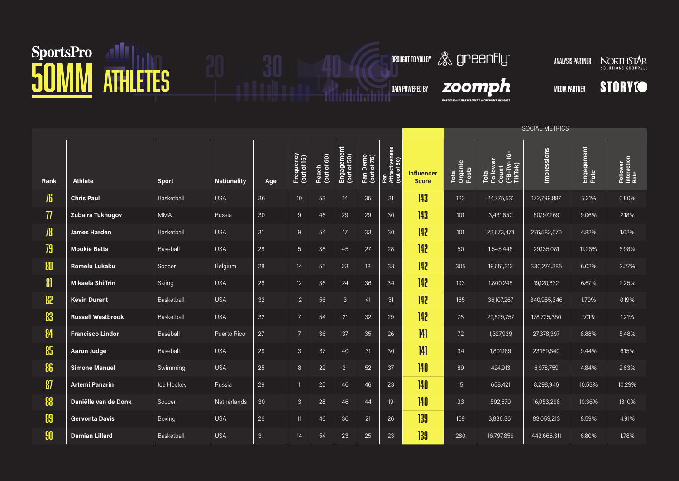### SportsPro 41 H HETES 30 40 ATHLETES

**BROUGHT TO YOU BY ANALYSIS PARTNER NORTHSTAR** 

**STORYIO** 

 $\boldsymbol{z}$ oomp $\boldsymbol{h}$  media partner

**PARTNERSHIP MEA** 

|                   |                          |              |                    |                 |                          |                      |                           |                         |                                      |                                   | <b>SOCIAL METRICS</b>     |                                                      |             |                    |                                 |
|-------------------|--------------------------|--------------|--------------------|-----------------|--------------------------|----------------------|---------------------------|-------------------------|--------------------------------------|-----------------------------------|---------------------------|------------------------------------------------------|-------------|--------------------|---------------------------------|
| Rank              | <b>Athlete</b>           | <b>Sport</b> | <b>Nationality</b> | Age             | Frequency<br>(out of 15) | Reach<br>(out of 60) | Engagement<br>(out of 50) | Fan Demo<br>(out of 75) | Fan<br>Attractiveness<br>(out of 50) | <b>Influencer</b><br><b>Score</b> | Total<br>Organic<br>Posts | Total<br>Follower<br>Count<br>(FB-TW- IG-<br>TikTok) | Impressions | Engagement<br>Rate | Follower<br>Interaction<br>Rate |
| 76                | <b>Chris Paul</b>        | Basketball   | <b>USA</b>         | 36              | 10 <sup>10</sup>         | 53                   | 14                        | 35                      | 31                                   | 143                               | 123                       | 24,775,531                                           | 172,799,887 | 5.21%              | 0.80%                           |
| $\overline{\eta}$ | Zubaira Tukhugov         | <b>MMA</b>   | Russia             | 30              | 9                        | 46                   | 29                        | 29                      | 30                                   | 143                               | 101                       | 3,431,650                                            | 80,197,269  | 9.06%              | 2.18%                           |
| 78                | <b>James Harden</b>      | Basketball   | <b>USA</b>         | 31              | 9                        | 54                   | 17                        | 33                      | 30                                   | 142                               | 101                       | 22,673,474                                           | 276,582,070 | 4.82%              | 1.62%                           |
| 79                | <b>Mookie Betts</b>      | Baseball     | <b>USA</b>         | 28              | $\overline{5}$           | 38                   | 45                        | 27                      | 28                                   | 142                               | 50                        | 1,545,448                                            | 29,135,081  | 11.26%             | 6.98%                           |
| 80                | <b>Romelu Lukaku</b>     | Soccer       | Belgium            | 28              | 14                       | 55                   | 23                        | 18                      | 33                                   | 142                               | 305                       | 19,651,312                                           | 380,274,385 | 6.02%              | 2.27%                           |
| 8                 | <b>Mikaela Shiffrin</b>  | Skiing       | <b>USA</b>         | 26              | 12                       | 36                   | 24                        | 36                      | 34                                   | 142                               | 193                       | 1,800,248                                            | 19,120,632  | 6.67%              | 2.25%                           |
| 82                | <b>Kevin Durant</b>      | Basketball   | <b>USA</b>         | 32              | 12                       | 56                   | 3                         | 41                      | 31                                   | 142                               | 165                       | 36,107,267                                           | 340,955,346 | 1.70%              | 0.19%                           |
| 83                | <b>Russell Westbrook</b> | Basketball   | <b>USA</b>         | 32              | $\overline{7}$           | 54                   | 21                        | 32                      | 29                                   | 142                               | 76                        | 29,829,757                                           | 178,725,350 | 7.01%              | 1.21%                           |
| 84                | <b>Francisco Lindor</b>  | Baseball     | Puerto Rico        | 27              | $\overline{7}$           | 36                   | 37                        | 35                      | 26                                   | 4                                 | 72                        | 1,327,939                                            | 27,378,397  | 8.88%              | 5.48%                           |
| 85                | <b>Aaron Judge</b>       | Baseball     | <b>USA</b>         | 29              | 3                        | 37                   | 40                        | 31                      | 30                                   | 4                                 | 34                        | 1,801,189                                            | 23,169,640  | 9.44%              | 6.15%                           |
| 86                | <b>Simone Manuel</b>     | Swimming     | <b>USA</b>         | 25              | 8                        | 22                   | 21                        | 52                      | 37                                   | 140                               | 89                        | 424,913                                              | 6,978,759   | 4.84%              | 2.63%                           |
| 87                | <b>Artemi Panarin</b>    | Ice Hockey   | Russia             | 29              | $\overline{1}$           | 25                   | 46                        | 46                      | 23                                   | 140                               | 15 <sup>15</sup>          | 658,421                                              | 8,298,946   | 10.53%             | 10.29%                          |
| 88                | Daniëlle van de Donk     | Soccer       | Netherlands        | 30 <sup>°</sup> | 3                        | 28                   | 46                        | 44                      | 19                                   | 140                               | 33                        | 592,670                                              | 16,053,298  | 10.36%             | 13.10%                          |
| 89                | <b>Gervonta Davis</b>    | Boxing       | <b>USA</b>         | $26\,$          | 11                       | 46                   | 36                        | 21                      | 26                                   | 139                               | 159                       | 3,836,361                                            | 83,059,213  | 8.59%              | 4.91%                           |
| 90                | <b>Damian Lillard</b>    | Basketball   | <b>USA</b>         | 31              | 14                       | 54                   | 23                        | 25                      | 23                                   | 139                               | 280                       | 16,797,859                                           | 442,666,311 | 6.80%              | 1.78%                           |